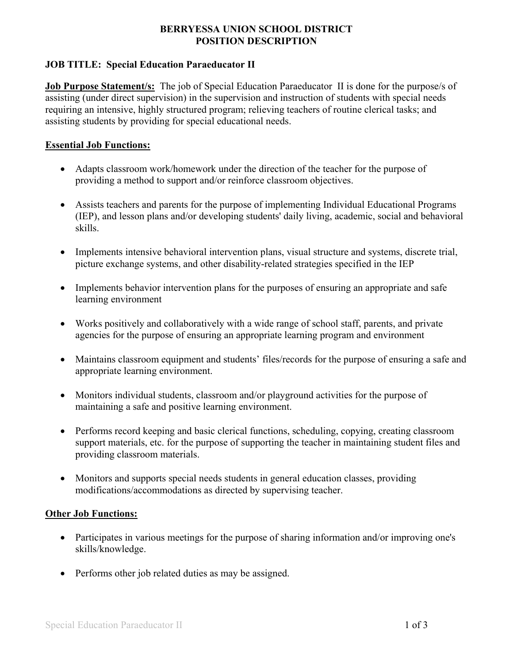### **BERRYESSA UNION SCHOOL DISTRICT POSITION DESCRIPTION**

## **JOB TITLE: Special Education Paraeducator II**

**Job Purpose Statement/s:** The job of Special Education Paraeducator II is done for the purpose/s of assisting (under direct supervision) in the supervision and instruction of students with special needs requiring an intensive, highly structured program; relieving teachers of routine clerical tasks; and assisting students by providing for special educational needs.

### **Essential Job Functions:**

- Adapts classroom work/homework under the direction of the teacher for the purpose of providing a method to support and/or reinforce classroom objectives.
- Assists teachers and parents for the purpose of implementing Individual Educational Programs (IEP), and lesson plans and/or developing students' daily living, academic, social and behavioral skills.
- Implements intensive behavioral intervention plans, visual structure and systems, discrete trial, picture exchange systems, and other disability-related strategies specified in the IEP
- Implements behavior intervention plans for the purposes of ensuring an appropriate and safe learning environment
- Works positively and collaboratively with a wide range of school staff, parents, and private agencies for the purpose of ensuring an appropriate learning program and environment
- Maintains classroom equipment and students' files/records for the purpose of ensuring a safe and appropriate learning environment.
- Monitors individual students, classroom and/or playground activities for the purpose of maintaining a safe and positive learning environment.
- Performs record keeping and basic clerical functions, scheduling, copying, creating classroom support materials, etc. for the purpose of supporting the teacher in maintaining student files and providing classroom materials.
- Monitors and supports special needs students in general education classes, providing modifications/accommodations as directed by supervising teacher.

## **Other Job Functions:**

- Participates in various meetings for the purpose of sharing information and/or improving one's skills/knowledge.
- Performs other job related duties as may be assigned.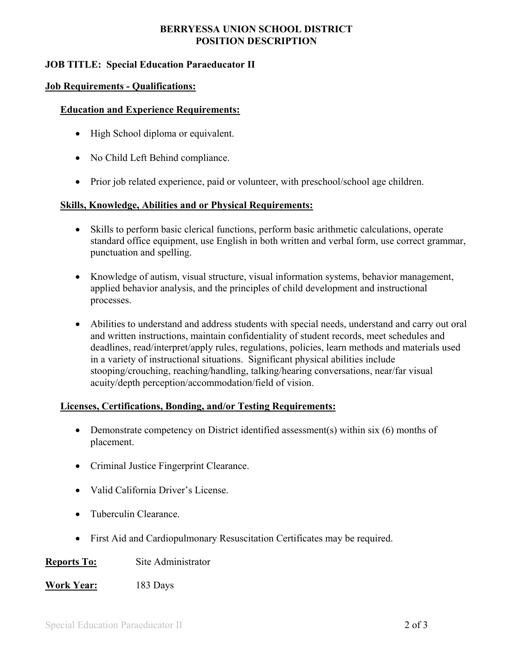### **BERRYESSA UNION SCHOOL DISTRICT POSITION DESCRIPTION**

## **JOB TITLE: Special Education Paraeducator II**

#### **Job Requirements - Qualifications:**

#### **Education and Experience Requirements:**

- High School diploma or equivalent.
- No Child Left Behind compliance.
- Prior job related experience, paid or volunteer, with preschool/school age children.

#### **Skills, Knowledge, Abilities and or Physical Requirements:**

- Skills to perform basic clerical functions, perform basic arithmetic calculations, operate standard office equipment, use English in both written and verbal form, use correct grammar, punctuation and spelling.
- Knowledge of autism, visual structure, visual information systems, behavior management, applied behavior analysis, and the principles of child development and instructional processes.
- Abilities to understand and address students with special needs, understand and carry out oral and written instructions, maintain confidentiality of student records, meet schedules and deadlines, read/interpret/apply rules, regulations, policies, learn methods and materials used in a variety of instructional situations. Significant physical abilities include stooping/crouching, reaching/handling, talking/hearing conversations, near/far visual acuity/depth perception/accommodation/field of vision.

#### **Licenses, Certifications, Bonding, and/or Testing Requirements:**

- Demonstrate competency on District identified assessment(s) within six (6) months of placement.
- Criminal Justice Fingerprint Clearance.
- Valid California Driver's License.
- Tuberculin Clearance.
- First Aid and Cardiopulmonary Resuscitation Certificates may be required.

#### **Reports To:** Site Administrator

**Work Year:** 183 Days